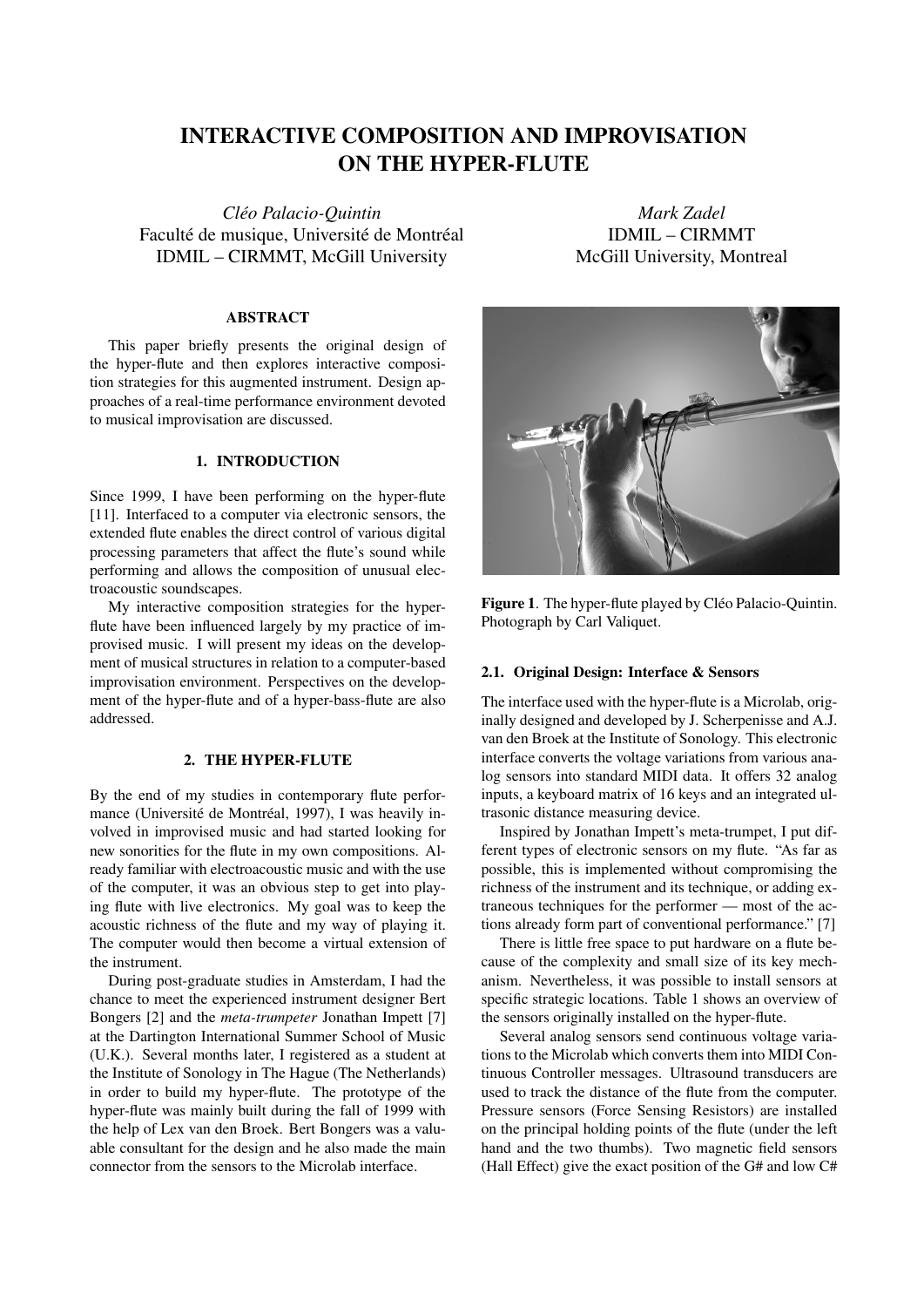# INTERACTIVE COMPOSITION AND IMPROVISATION ON THE HYPER-FLUTE

*Cleo Palacio-Quintin ´* Faculté de musique, Université de Montréal IDMIL – CIRMMT, McGill University

#### ABSTRACT

This paper briefly presents the original design of the hyper-flute and then explores interactive composition strategies for this augmented instrument. Design approaches of a real-time performance environment devoted to musical improvisation are discussed.

#### 1. INTRODUCTION

Since 1999, I have been performing on the hyper-flute [11]. Interfaced to a computer via electronic sensors, the extended flute enables the direct control of various digital processing parameters that affect the flute's sound while performing and allows the composition of unusual electroacoustic soundscapes.

My interactive composition strategies for the hyperflute have been influenced largely by my practice of improvised music. I will present my ideas on the development of musical structures in relation to a computer-based improvisation environment. Perspectives on the development of the hyper-flute and of a hyper-bass-flute are also addressed.

## 2. THE HYPER-FLUTE

By the end of my studies in contemporary flute performance (Université de Montréal, 1997), I was heavily involved in improvised music and had started looking for new sonorities for the flute in my own compositions. Already familiar with electroacoustic music and with the use of the computer, it was an obvious step to get into playing flute with live electronics. My goal was to keep the acoustic richness of the flute and my way of playing it. The computer would then become a virtual extension of the instrument.

During post-graduate studies in Amsterdam, I had the chance to meet the experienced instrument designer Bert Bongers [2] and the *meta-trumpeter* Jonathan Impett [7] at the Dartington International Summer School of Music (U.K.). Several months later, I registered as a student at the Institute of Sonology in The Hague (The Netherlands) in order to build my hyper-flute. The prototype of the hyper-flute was mainly built during the fall of 1999 with the help of Lex van den Broek. Bert Bongers was a valuable consultant for the design and he also made the main connector from the sensors to the Microlab interface.

*Mark Zadel* IDMIL – CIRMMT McGill University, Montreal



Figure 1. The hyper-flute played by Cléo Palacio-Quintin. Photograph by Carl Valiquet.

## 2.1. Original Design: Interface & Sensors

The interface used with the hyper-flute is a Microlab, originally designed and developed by J. Scherpenisse and A.J. van den Broek at the Institute of Sonology. This electronic interface converts the voltage variations from various analog sensors into standard MIDI data. It offers 32 analog inputs, a keyboard matrix of 16 keys and an integrated ultrasonic distance measuring device.

Inspired by Jonathan Impett's meta-trumpet, I put different types of electronic sensors on my flute. "As far as possible, this is implemented without compromising the richness of the instrument and its technique, or adding extraneous techniques for the performer — most of the actions already form part of conventional performance." [7]

There is little free space to put hardware on a flute because of the complexity and small size of its key mechanism. Nevertheless, it was possible to install sensors at specific strategic locations. Table 1 shows an overview of the sensors originally installed on the hyper-flute.

Several analog sensors send continuous voltage variations to the Microlab which converts them into MIDI Continuous Controller messages. Ultrasound transducers are used to track the distance of the flute from the computer. Pressure sensors (Force Sensing Resistors) are installed on the principal holding points of the flute (under the left hand and the two thumbs). Two magnetic field sensors (Hall Effect) give the exact position of the G# and low C#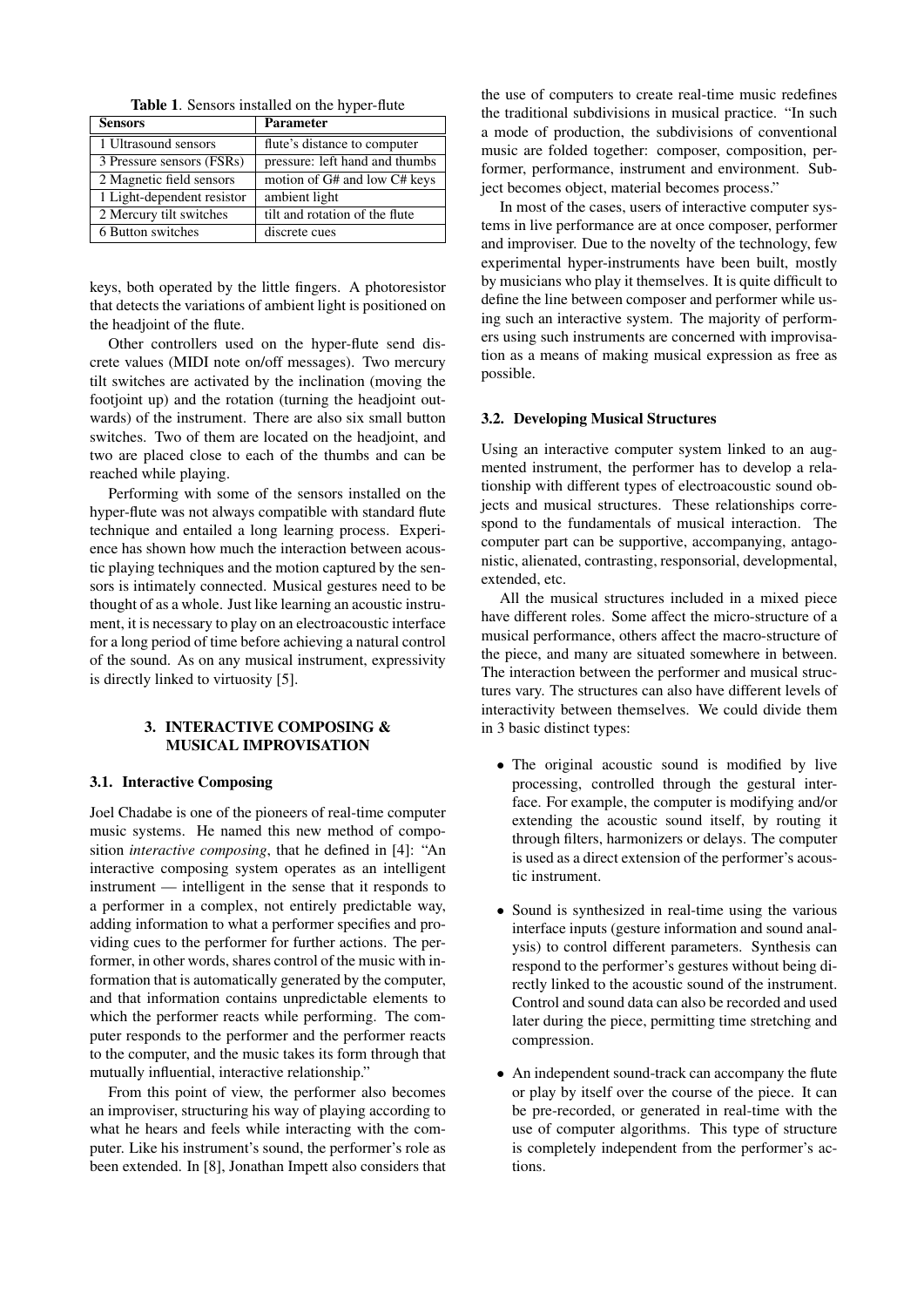| <b>Table 1.</b> Sensors installed on the hyper-flute |  |  |
|------------------------------------------------------|--|--|
|------------------------------------------------------|--|--|

| <b>Sensors</b>             | <b>Parameter</b>               |
|----------------------------|--------------------------------|
| 1 Ultrasound sensors       | flute's distance to computer   |
| 3 Pressure sensors (FSRs)  | pressure: left hand and thumbs |
| 2 Magnetic field sensors   | motion of G# and low C# keys   |
| 1 Light-dependent resistor | ambient light                  |
| 2 Mercury tilt switches    | tilt and rotation of the flute |
| 6 Button switches          | discrete cues                  |

keys, both operated by the little fingers. A photoresistor that detects the variations of ambient light is positioned on the headjoint of the flute.

Other controllers used on the hyper-flute send discrete values (MIDI note on/off messages). Two mercury tilt switches are activated by the inclination (moving the footjoint up) and the rotation (turning the headjoint outwards) of the instrument. There are also six small button switches. Two of them are located on the headjoint, and two are placed close to each of the thumbs and can be reached while playing.

Performing with some of the sensors installed on the hyper-flute was not always compatible with standard flute technique and entailed a long learning process. Experience has shown how much the interaction between acoustic playing techniques and the motion captured by the sensors is intimately connected. Musical gestures need to be thought of as a whole. Just like learning an acoustic instrument, it is necessary to play on an electroacoustic interface for a long period of time before achieving a natural control of the sound. As on any musical instrument, expressivity is directly linked to virtuosity [5].

## 3. INTERACTIVE COMPOSING & MUSICAL IMPROVISATION

#### 3.1. Interactive Composing

Joel Chadabe is one of the pioneers of real-time computer music systems. He named this new method of composition *interactive composing*, that he defined in [4]: "An interactive composing system operates as an intelligent instrument — intelligent in the sense that it responds to a performer in a complex, not entirely predictable way, adding information to what a performer specifies and providing cues to the performer for further actions. The performer, in other words, shares control of the music with information that is automatically generated by the computer, and that information contains unpredictable elements to which the performer reacts while performing. The computer responds to the performer and the performer reacts to the computer, and the music takes its form through that mutually influential, interactive relationship."

From this point of view, the performer also becomes an improviser, structuring his way of playing according to what he hears and feels while interacting with the computer. Like his instrument's sound, the performer's role as been extended. In [8], Jonathan Impett also considers that the use of computers to create real-time music redefines the traditional subdivisions in musical practice. "In such a mode of production, the subdivisions of conventional music are folded together: composer, composition, performer, performance, instrument and environment. Subject becomes object, material becomes process."

In most of the cases, users of interactive computer systems in live performance are at once composer, performer and improviser. Due to the novelty of the technology, few experimental hyper-instruments have been built, mostly by musicians who play it themselves. It is quite difficult to define the line between composer and performer while using such an interactive system. The majority of performers using such instruments are concerned with improvisation as a means of making musical expression as free as possible.

#### 3.2. Developing Musical Structures

Using an interactive computer system linked to an augmented instrument, the performer has to develop a relationship with different types of electroacoustic sound objects and musical structures. These relationships correspond to the fundamentals of musical interaction. The computer part can be supportive, accompanying, antagonistic, alienated, contrasting, responsorial, developmental, extended, etc.

All the musical structures included in a mixed piece have different roles. Some affect the micro-structure of a musical performance, others affect the macro-structure of the piece, and many are situated somewhere in between. The interaction between the performer and musical structures vary. The structures can also have different levels of interactivity between themselves. We could divide them in 3 basic distinct types:

- The original acoustic sound is modified by live processing, controlled through the gestural interface. For example, the computer is modifying and/or extending the acoustic sound itself, by routing it through filters, harmonizers or delays. The computer is used as a direct extension of the performer's acoustic instrument.
- Sound is synthesized in real-time using the various interface inputs (gesture information and sound analysis) to control different parameters. Synthesis can respond to the performer's gestures without being directly linked to the acoustic sound of the instrument. Control and sound data can also be recorded and used later during the piece, permitting time stretching and compression.
- An independent sound-track can accompany the flute or play by itself over the course of the piece. It can be pre-recorded, or generated in real-time with the use of computer algorithms. This type of structure is completely independent from the performer's actions.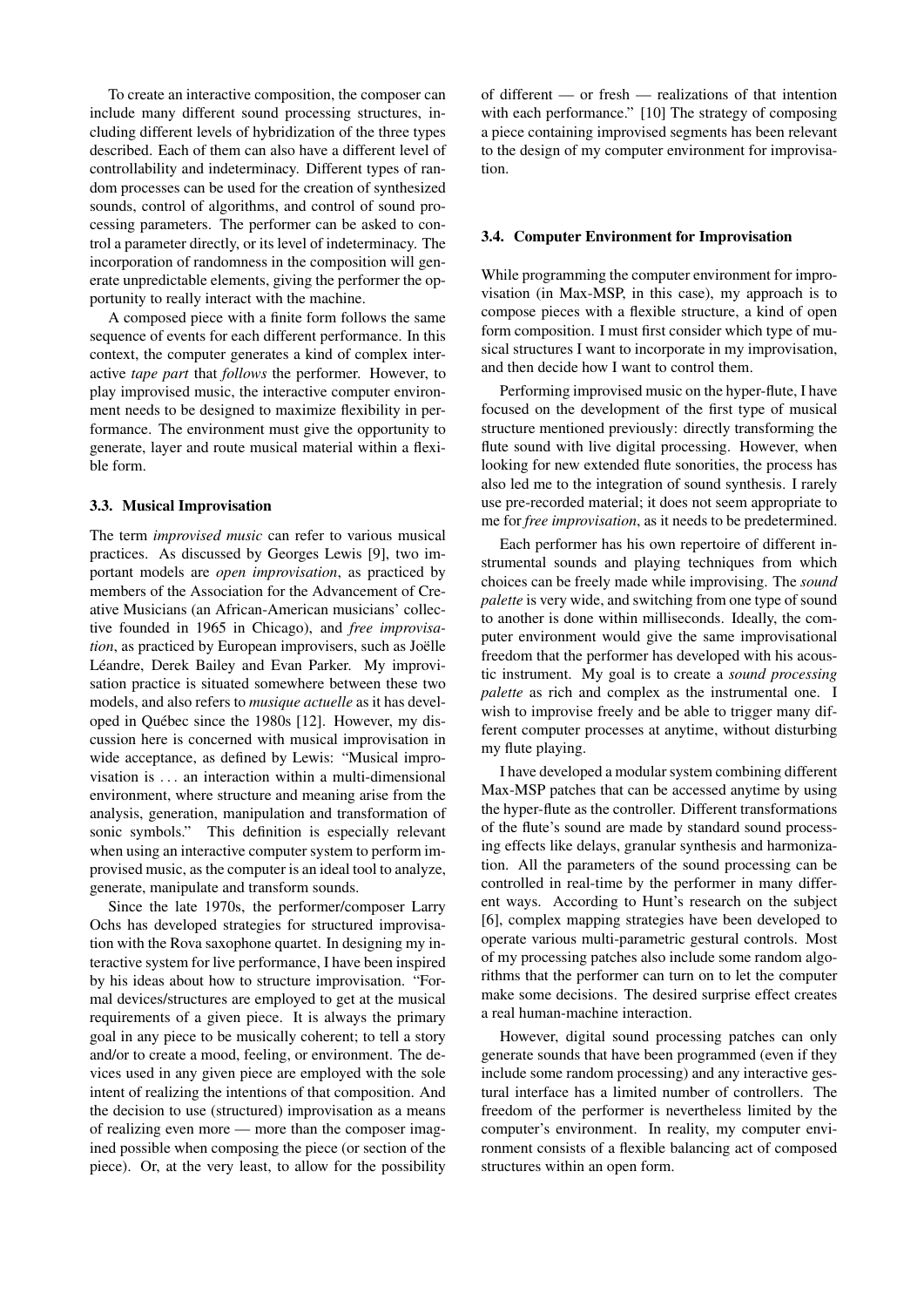To create an interactive composition, the composer can include many different sound processing structures, including different levels of hybridization of the three types described. Each of them can also have a different level of controllability and indeterminacy. Different types of random processes can be used for the creation of synthesized sounds, control of algorithms, and control of sound processing parameters. The performer can be asked to control a parameter directly, or its level of indeterminacy. The incorporation of randomness in the composition will generate unpredictable elements, giving the performer the opportunity to really interact with the machine.

A composed piece with a finite form follows the same sequence of events for each different performance. In this context, the computer generates a kind of complex interactive *tape part* that *follows* the performer. However, to play improvised music, the interactive computer environment needs to be designed to maximize flexibility in performance. The environment must give the opportunity to generate, layer and route musical material within a flexible form.

#### 3.3. Musical Improvisation

The term *improvised music* can refer to various musical practices. As discussed by Georges Lewis [9], two important models are *open improvisation*, as practiced by members of the Association for the Advancement of Creative Musicians (an African-American musicians' collective founded in 1965 in Chicago), and *free improvisation*, as practiced by European improvisers, such as Joëlle Léandre, Derek Bailey and Evan Parker. My improvisation practice is situated somewhere between these two models, and also refers to *musique actuelle* as it has developed in Québec since the 1980s [12]. However, my discussion here is concerned with musical improvisation in wide acceptance, as defined by Lewis: "Musical improvisation is . . . an interaction within a multi-dimensional environment, where structure and meaning arise from the analysis, generation, manipulation and transformation of sonic symbols." This definition is especially relevant when using an interactive computer system to perform improvised music, as the computer is an ideal tool to analyze, generate, manipulate and transform sounds.

Since the late 1970s, the performer/composer Larry Ochs has developed strategies for structured improvisation with the Rova saxophone quartet. In designing my interactive system for live performance, I have been inspired by his ideas about how to structure improvisation. "Formal devices/structures are employed to get at the musical requirements of a given piece. It is always the primary goal in any piece to be musically coherent; to tell a story and/or to create a mood, feeling, or environment. The devices used in any given piece are employed with the sole intent of realizing the intentions of that composition. And the decision to use (structured) improvisation as a means of realizing even more — more than the composer imagined possible when composing the piece (or section of the piece). Or, at the very least, to allow for the possibility of different — or fresh — realizations of that intention with each performance." [10] The strategy of composing a piece containing improvised segments has been relevant to the design of my computer environment for improvisation.

#### 3.4. Computer Environment for Improvisation

While programming the computer environment for improvisation (in Max-MSP, in this case), my approach is to compose pieces with a flexible structure, a kind of open form composition. I must first consider which type of musical structures I want to incorporate in my improvisation, and then decide how I want to control them.

Performing improvised music on the hyper-flute, I have focused on the development of the first type of musical structure mentioned previously: directly transforming the flute sound with live digital processing. However, when looking for new extended flute sonorities, the process has also led me to the integration of sound synthesis. I rarely use pre-recorded material; it does not seem appropriate to me for *free improvisation*, as it needs to be predetermined.

Each performer has his own repertoire of different instrumental sounds and playing techniques from which choices can be freely made while improvising. The *sound palette* is very wide, and switching from one type of sound to another is done within milliseconds. Ideally, the computer environment would give the same improvisational freedom that the performer has developed with his acoustic instrument. My goal is to create a *sound processing palette* as rich and complex as the instrumental one. I wish to improvise freely and be able to trigger many different computer processes at anytime, without disturbing my flute playing.

I have developed a modular system combining different Max-MSP patches that can be accessed anytime by using the hyper-flute as the controller. Different transformations of the flute's sound are made by standard sound processing effects like delays, granular synthesis and harmonization. All the parameters of the sound processing can be controlled in real-time by the performer in many different ways. According to Hunt's research on the subject [6], complex mapping strategies have been developed to operate various multi-parametric gestural controls. Most of my processing patches also include some random algorithms that the performer can turn on to let the computer make some decisions. The desired surprise effect creates a real human-machine interaction.

However, digital sound processing patches can only generate sounds that have been programmed (even if they include some random processing) and any interactive gestural interface has a limited number of controllers. The freedom of the performer is nevertheless limited by the computer's environment. In reality, my computer environment consists of a flexible balancing act of composed structures within an open form.